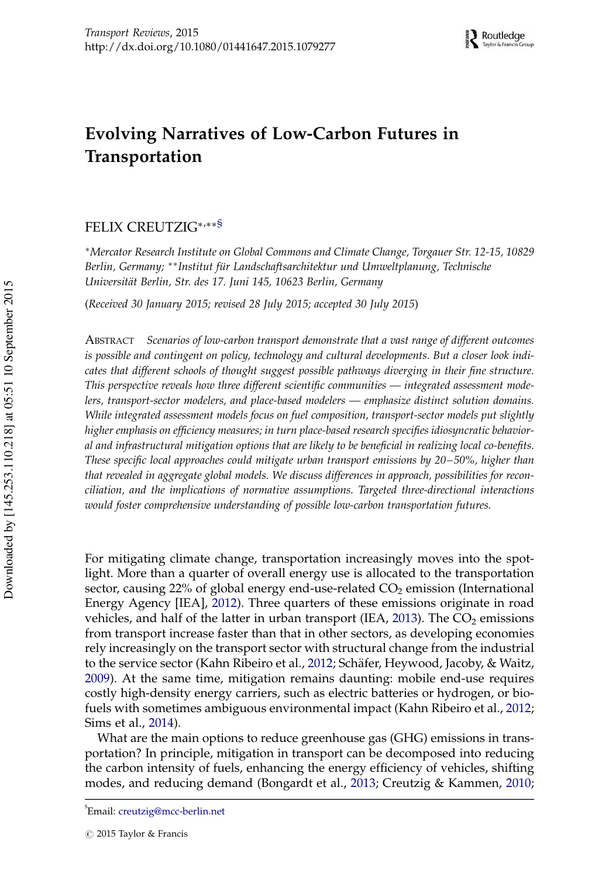# Evolving Narratives of Low-Carbon Futures in Transportation

# FELIX CREUTZIG∗,∗∗§

∗Mercator Research Institute on Global Commons and Climate Change, Torgauer Str. 12-15, 10829 Berlin, Germany; \*\*Institut für Landschaftsarchitektur und Umweltplanung, Technische Universität Berlin, Str. des 17. Juni 145, 10623 Berlin, Germany

(Received 30 January 2015; revised 28 July 2015; accepted 30 July 2015)

ABSTRACT Scenarios of low-carbon transport demonstrate that a vast range of different outcomes is possible and contingent on policy, technology and cultural developments. But a closer look indicates that different schools of thought suggest possible pathways diverging in their fine structure. This perspective reveals how three different scientific communities — integrated assessment modelers, transport-sector modelers, and place-based modelers — emphasize distinct solution domains. While integrated assessment models focus on fuel composition, transport-sector models put slightly higher emphasis on efficiency measures; in turn place-based research specifies idiosyncratic behavioral and infrastructural mitigation options that are likely to be beneficial in realizing local co-benefits. These specific local approaches could mitigate urban transport emissions by 20–50%, higher than that revealed in aggregate global models. We discuss differences in approach, possibilities for reconciliation, and the implications of normative assumptions. Targeted three-directional interactions would foster comprehensive understanding of possible low-carbon transportation futures.

For mitigating climate change, transportation increasingly moves into the spotlight. More than a quarter of overall energy use is allocated to the transportation sector, causing 22% of global energy end-use-related  $CO<sub>2</sub>$  emission (International Energy Agency [IEA], [2012\)](#page-16-0). Three quarters of these emissions originate in road vehicles, and half of the latter in urban transport (IEA, [2013](#page-16-0)). The  $CO<sub>2</sub>$  emissions from transport increase faster than that in other sectors, as developing economies rely increasingly on the transport sector with structural change from the industrial to the service sector (Kahn Ribeiro et al., [2012;](#page-17-0) Schäfer, Heywood, Jacoby, & Waitz, [2009](#page-17-0)). At the same time, mitigation remains daunting: mobile end-use requires costly high-density energy carriers, such as electric batteries or hydrogen, or biofuels with sometimes ambiguous environmental impact (Kahn Ribeiro et al., [2012](#page-17-0); Sims et al., [2014](#page-18-0)).

What are the main options to reduce greenhouse gas (GHG) emissions in transportation? In principle, mitigation in transport can be decomposed into reducing the carbon intensity of fuels, enhancing the energy efficiency of vehicles, shifting modes, and reducing demand (Bongardt et al., [2013;](#page-15-0) Creutzig & Kammen, [2010](#page-16-0);

<sup>§</sup> Email: [creutzig@mcc-berlin.net](mailto:creutzig@mcc-berlin.net)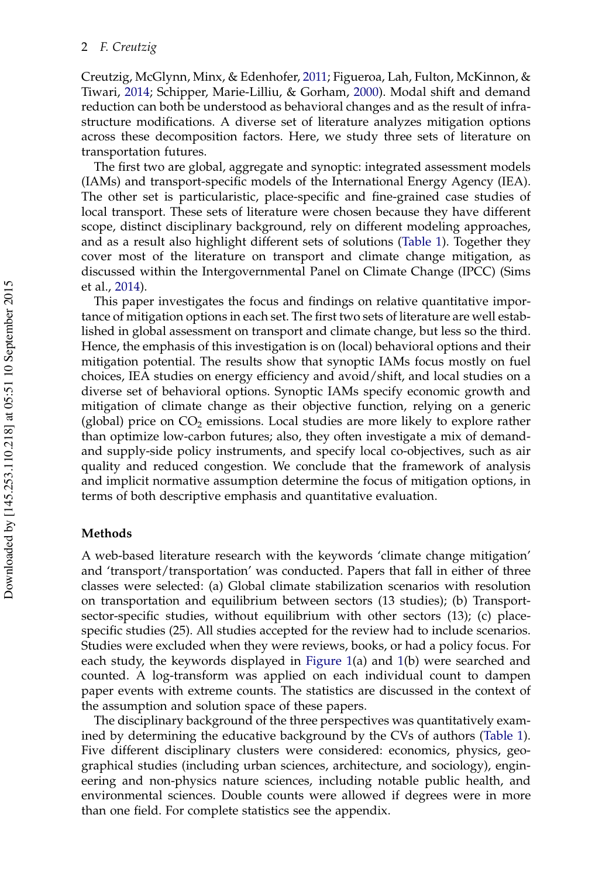Creutzig, McGlynn, Minx, & Edenhofer, [2011](#page-16-0); Figueroa, Lah, Fulton, McKinnon, & Tiwari, [2014;](#page-16-0) Schipper, Marie-Lilliu, & Gorham, [2000](#page-17-0)). Modal shift and demand reduction can both be understood as behavioral changes and as the result of infrastructure modifications. A diverse set of literature analyzes mitigation options across these decomposition factors. Here, we study three sets of literature on transportation futures.

The first two are global, aggregate and synoptic: integrated assessment models (IAMs) and transport-specific models of the International Energy Agency (IEA). The other set is particularistic, place-specific and fine-grained case studies of local transport. These sets of literature were chosen because they have different scope, distinct disciplinary background, rely on different modeling approaches, and as a result also highlight different sets of solutions [\(Table 1](#page-2-0)). Together they cover most of the literature on transport and climate change mitigation, as discussed within the Intergovernmental Panel on Climate Change (IPCC) (Sims et al., [2014](#page-18-0)).

This paper investigates the focus and findings on relative quantitative importance of mitigation options in each set. The first two sets of literature are well established in global assessment on transport and climate change, but less so the third. Hence, the emphasis of this investigation is on (local) behavioral options and their mitigation potential. The results show that synoptic IAMs focus mostly on fuel choices, IEA studies on energy efficiency and avoid/shift, and local studies on a diverse set of behavioral options. Synoptic IAMs specify economic growth and mitigation of climate change as their objective function, relying on a generic (global) price on  $CO<sub>2</sub>$  emissions. Local studies are more likely to explore rather than optimize low-carbon futures; also, they often investigate a mix of demandand supply-side policy instruments, and specify local co-objectives, such as air quality and reduced congestion. We conclude that the framework of analysis and implicit normative assumption determine the focus of mitigation options, in terms of both descriptive emphasis and quantitative evaluation.

### Methods

A web-based literature research with the keywords 'climate change mitigation' and 'transport/transportation' was conducted. Papers that fall in either of three classes were selected: (a) Global climate stabilization scenarios with resolution on transportation and equilibrium between sectors (13 studies); (b) Transportsector-specific studies, without equilibrium with other sectors (13); (c) placespecific studies (25). All studies accepted for the review had to include scenarios. Studies were excluded when they were reviews, books, or had a policy focus. For each study, the keywords displayed in [Figure 1](#page-9-0)(a) and [1\(](#page-9-0)b) were searched and counted. A log-transform was applied on each individual count to dampen paper events with extreme counts. The statistics are discussed in the context of the assumption and solution space of these papers.

The disciplinary background of the three perspectives was quantitatively examined by determining the educative background by the CVs of authors [\(Table 1](#page-2-0)). Five different disciplinary clusters were considered: economics, physics, geographical studies (including urban sciences, architecture, and sociology), engineering and non-physics nature sciences, including notable public health, and environmental sciences. Double counts were allowed if degrees were in more than one field. For complete statistics see the appendix.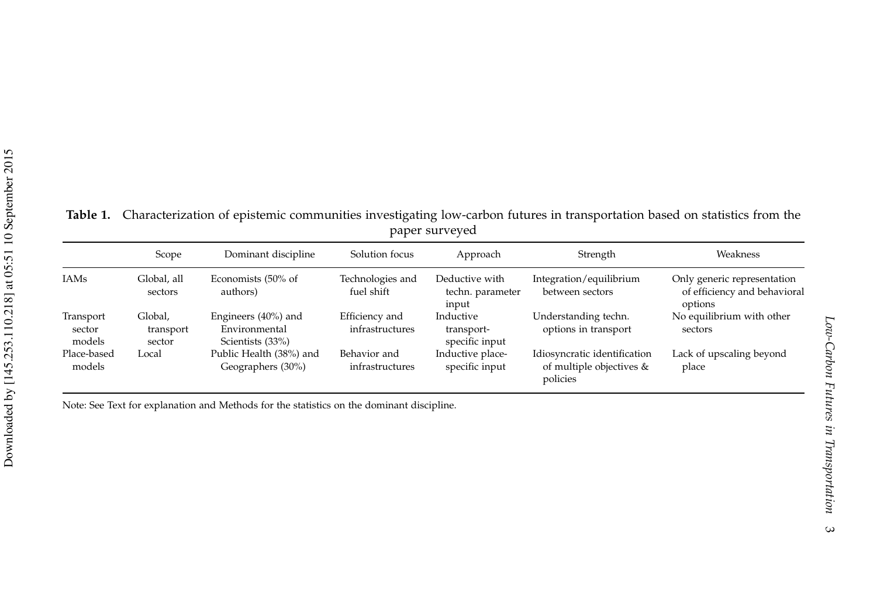|                               | Scope                          | Dominant discipline                                      | Solution focus                    | Approach                                    | Strength                                                               | Weakness                                                               |
|-------------------------------|--------------------------------|----------------------------------------------------------|-----------------------------------|---------------------------------------------|------------------------------------------------------------------------|------------------------------------------------------------------------|
| <b>IAMs</b>                   | Global, all<br>sectors         | Economists (50% of<br>authors)                           | Technologies and<br>fuel shift    | Deductive with<br>techn. parameter<br>input | Integration/equilibrium<br>between sectors                             | Only generic representation<br>of efficiency and behavioral<br>options |
| Transport<br>sector<br>models | Global,<br>transport<br>sector | Engineers (40%) and<br>Environmental<br>Scientists (33%) | Efficiency and<br>infrastructures | Inductive<br>transport-<br>specific input   | Understanding techn.<br>options in transport                           | No equilibrium with other<br>sectors                                   |
| Place-based<br>models         | Local                          | Public Health (38%) and<br>Geographers (30%)             | Behavior and<br>infrastructures   | Inductive place-<br>specific input          | Idiosyncratic identification<br>of multiple objectives $&$<br>policies | Lack of upscaling beyond<br>place                                      |

<span id="page-2-0"></span>Table 1. Characterization of epistemic communities investigating low-carbon futures in transportation based on statistics from the paper surveyed

Note: See Text for explanation and Methods for the statistics on the dominant discipline.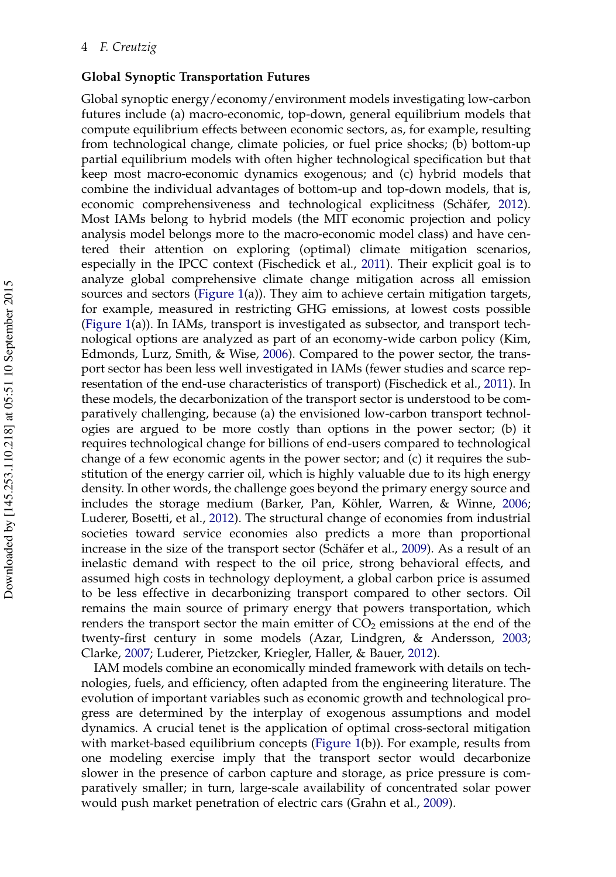#### Global Synoptic Transportation Futures

Global synoptic energy/economy/environment models investigating low-carbon futures include (a) macro-economic, top-down, general equilibrium models that compute equilibrium effects between economic sectors, as, for example, resulting from technological change, climate policies, or fuel price shocks; (b) bottom-up partial equilibrium models with often higher technological specification but that keep most macro-economic dynamics exogenous; and (c) hybrid models that combine the individual advantages of bottom-up and top-down models, that is, economic comprehensiveness and technological explicitness (Schäfer, [2012](#page-17-0)). Most IAMs belong to hybrid models (the MIT economic projection and policy analysis model belongs more to the macro-economic model class) and have centered their attention on exploring (optimal) climate mitigation scenarios, especially in the IPCC context (Fischedick et al., [2011](#page-16-0)). Their explicit goal is to analyze global comprehensive climate change mitigation across all emission sources and sectors ([Figure 1\(](#page-9-0)a)). They aim to achieve certain mitigation targets, for example, measured in restricting GHG emissions, at lowest costs possible ([Figure 1](#page-9-0)(a)). In IAMs, transport is investigated as subsector, and transport technological options are analyzed as part of an economy-wide carbon policy (Kim, Edmonds, Lurz, Smith, & Wise, [2006\)](#page-17-0). Compared to the power sector, the transport sector has been less well investigated in IAMs (fewer studies and scarce representation of the end-use characteristics of transport) (Fischedick et al., [2011](#page-16-0)). In these models, the decarbonization of the transport sector is understood to be comparatively challenging, because (a) the envisioned low-carbon transport technologies are argued to be more costly than options in the power sector; (b) it requires technological change for billions of end-users compared to technological change of a few economic agents in the power sector; and (c) it requires the substitution of the energy carrier oil, which is highly valuable due to its high energy density. In other words, the challenge goes beyond the primary energy source and includes the storage medium (Barker, Pan, Köhler, Warren, & Winne, [2006;](#page-15-0) Luderer, Bosetti, et al., [2012\)](#page-17-0). The structural change of economies from industrial societies toward service economies also predicts a more than proportional increase in the size of the transport sector (Schäfer et al., [2009\)](#page-17-0). As a result of an inelastic demand with respect to the oil price, strong behavioral effects, and assumed high costs in technology deployment, a global carbon price is assumed to be less effective in decarbonizing transport compared to other sectors. Oil remains the main source of primary energy that powers transportation, which renders the transport sector the main emitter of  $CO<sub>2</sub>$  emissions at the end of the twenty-first century in some models (Azar, Lindgren, & Andersson, [2003;](#page-15-0) Clarke, [2007](#page-15-0); Luderer, Pietzcker, Kriegler, Haller, & Bauer, [2012\)](#page-17-0).

IAM models combine an economically minded framework with details on technologies, fuels, and efficiency, often adapted from the engineering literature. The evolution of important variables such as economic growth and technological progress are determined by the interplay of exogenous assumptions and model dynamics. A crucial tenet is the application of optimal cross-sectoral mitigation with market-based equilibrium concepts ([Figure 1](#page-9-0)(b)). For example, results from one modeling exercise imply that the transport sector would decarbonize slower in the presence of carbon capture and storage, as price pressure is comparatively smaller; in turn, large-scale availability of concentrated solar power would push market penetration of electric cars (Grahn et al., [2009](#page-16-0)).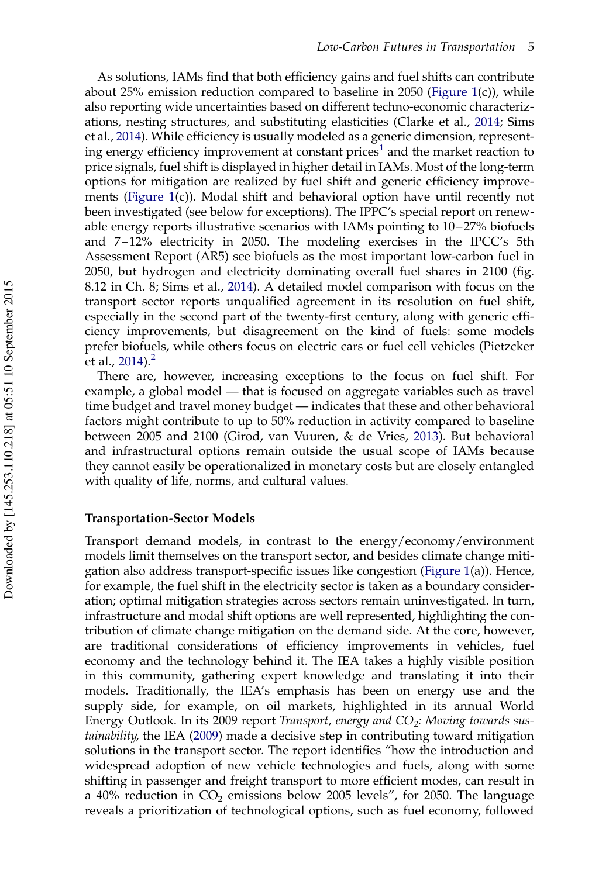As solutions, IAMs find that both efficiency gains and fuel shifts can contribute about 25% emission reduction compared to baseline in 2050 ([Figure 1\(](#page-9-0)c)), while also reporting wide uncertainties based on different techno-economic characterizations, nesting structures, and substituting elasticities (Clarke et al., [2014](#page-15-0); Sims et al., [2014](#page-18-0)). While efficiency is usually modeled as a generic dimension, represent-ing energy efficiency improvement at constant prices<sup>[1](#page-15-0)</sup> and the market reaction to price signals, fuel shift is displayed in higher detail in IAMs. Most of the long-term options for mitigation are realized by fuel shift and generic efficiency improvements [\(Figure 1](#page-9-0)(c)). Modal shift and behavioral option have until recently not been investigated (see below for exceptions). The IPPC's special report on renewable energy reports illustrative scenarios with IAMs pointing to  $10-27\%$  biofuels and 7 –12% electricity in 2050. The modeling exercises in the IPCC's 5th Assessment Report (AR5) see biofuels as the most important low-carbon fuel in 2050, but hydrogen and electricity dominating overall fuel shares in 2100 (fig. 8.12 in Ch. 8; Sims et al., [2014\)](#page-18-0). A detailed model comparison with focus on the transport sector reports unqualified agreement in its resolution on fuel shift, especially in the second part of the twenty-first century, along with generic efficiency improvements, but disagreement on the kind of fuels: some models prefer biofuels, while others focus on electric cars or fuel cell vehicles (Pietzcker et al.,  $2014$  $2014$ ).<sup>2</sup>

There are, however, increasing exceptions to the focus on fuel shift. For example, a global model — that is focused on aggregate variables such as travel time budget and travel money budget — indicates that these and other behavioral factors might contribute to up to 50% reduction in activity compared to baseline between 2005 and 2100 (Girod, van Vuuren, & de Vries, [2013](#page-16-0)). But behavioral and infrastructural options remain outside the usual scope of IAMs because they cannot easily be operationalized in monetary costs but are closely entangled with quality of life, norms, and cultural values.

# Transportation-Sector Models

Transport demand models, in contrast to the energy/economy/environment models limit themselves on the transport sector, and besides climate change mitigation also address transport-specific issues like congestion [\(Figure 1\(](#page-9-0)a)). Hence, for example, the fuel shift in the electricity sector is taken as a boundary consideration; optimal mitigation strategies across sectors remain uninvestigated. In turn, infrastructure and modal shift options are well represented, highlighting the contribution of climate change mitigation on the demand side. At the core, however, are traditional considerations of efficiency improvements in vehicles, fuel economy and the technology behind it. The IEA takes a highly visible position in this community, gathering expert knowledge and translating it into their models. Traditionally, the IEA's emphasis has been on energy use and the supply side, for example, on oil markets, highlighted in its annual World Energy Outlook. In its 2009 report Transport, energy and  $CO<sub>2</sub>$ : Moving towards sustainability, the IEA ([2009](#page-16-0)) made a decisive step in contributing toward mitigation solutions in the transport sector. The report identifies "how the introduction and widespread adoption of new vehicle technologies and fuels, along with some shifting in passenger and freight transport to more efficient modes, can result in a 40% reduction in  $CO<sub>2</sub>$  emissions below 2005 levels", for 2050. The language reveals a prioritization of technological options, such as fuel economy, followed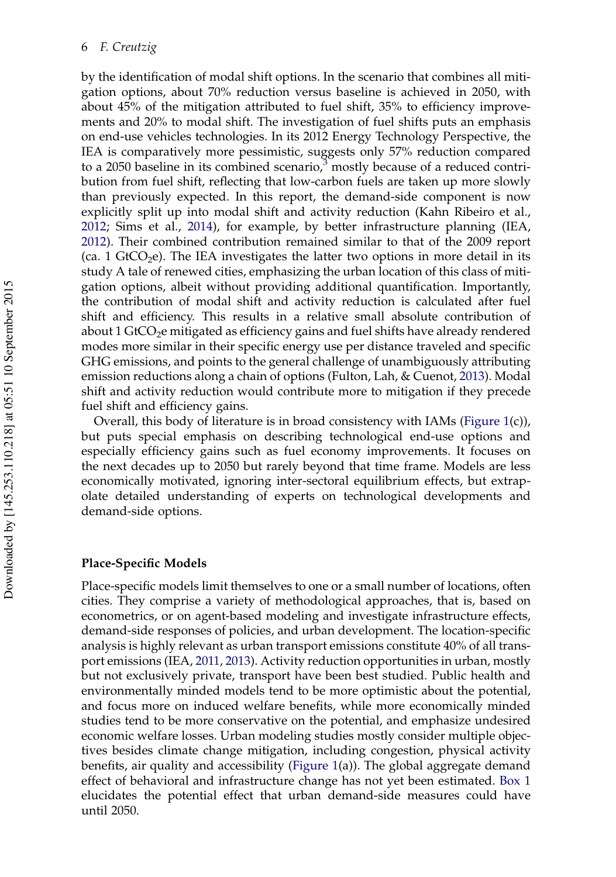by the identification of modal shift options. In the scenario that combines all mitigation options, about 70% reduction versus baseline is achieved in 2050, with about 45% of the mitigation attributed to fuel shift, 35% to efficiency improvements and 20% to modal shift. The investigation of fuel shifts puts an emphasis on end-use vehicles technologies. In its 2012 Energy Technology Perspective, the IEA is comparatively more pessimistic, suggests only 57% reduction compared to a 2050 baseline in its combined scenario, $3 \text{ mostly}$  $3 \text{ mostly}$  because of a reduced contribution from fuel shift, reflecting that low-carbon fuels are taken up more slowly than previously expected. In this report, the demand-side component is now explicitly split up into modal shift and activity reduction (Kahn Ribeiro et al., [2012](#page-17-0); Sims et al., [2014](#page-18-0)), for example, by better infrastructure planning (IEA, [2012](#page-16-0)). Their combined contribution remained similar to that of the 2009 report (ca. 1 GtCO<sub>2</sub>e). The IEA investigates the latter two options in more detail in its study A tale of renewed cities, emphasizing the urban location of this class of mitigation options, albeit without providing additional quantification. Importantly, the contribution of modal shift and activity reduction is calculated after fuel shift and efficiency. This results in a relative small absolute contribution of about 1 GtCO<sub>2</sub>e mitigated as efficiency gains and fuel shifts have already rendered modes more similar in their specific energy use per distance traveled and specific GHG emissions, and points to the general challenge of unambiguously attributing emission reductions along a chain of options (Fulton, Lah, & Cuenot, [2013](#page-16-0)). Modal shift and activity reduction would contribute more to mitigation if they precede fuel shift and efficiency gains.

Overall, this body of literature is in broad consistency with IAMs ([Figure 1](#page-9-0)(c)), but puts special emphasis on describing technological end-use options and especially efficiency gains such as fuel economy improvements. It focuses on the next decades up to 2050 but rarely beyond that time frame. Models are less economically motivated, ignoring inter-sectoral equilibrium effects, but extrapolate detailed understanding of experts on technological developments and demand-side options.

## Place-Specific Models

Place-specific models limit themselves to one or a small number of locations, often cities. They comprise a variety of methodological approaches, that is, based on econometrics, or on agent-based modeling and investigate infrastructure effects, demand-side responses of policies, and urban development. The location-specific analysis is highly relevant as urban transport emissions constitute 40% of all transport emissions (IEA, [2011](#page-16-0), [2013\)](#page-16-0). Activity reduction opportunities in urban, mostly but not exclusively private, transport have been best studied. Public health and environmentally minded models tend to be more optimistic about the potential, and focus more on induced welfare benefits, while more economically minded studies tend to be more conservative on the potential, and emphasize undesired economic welfare losses. Urban modeling studies mostly consider multiple objectives besides climate change mitigation, including congestion, physical activity benefits, air quality and accessibility [\(Figure 1](#page-9-0)(a)). The global aggregate demand effect of behavioral and infrastructure change has not yet been estimated. Box 1 elucidates the potential effect that urban demand-side measures could have until 2050.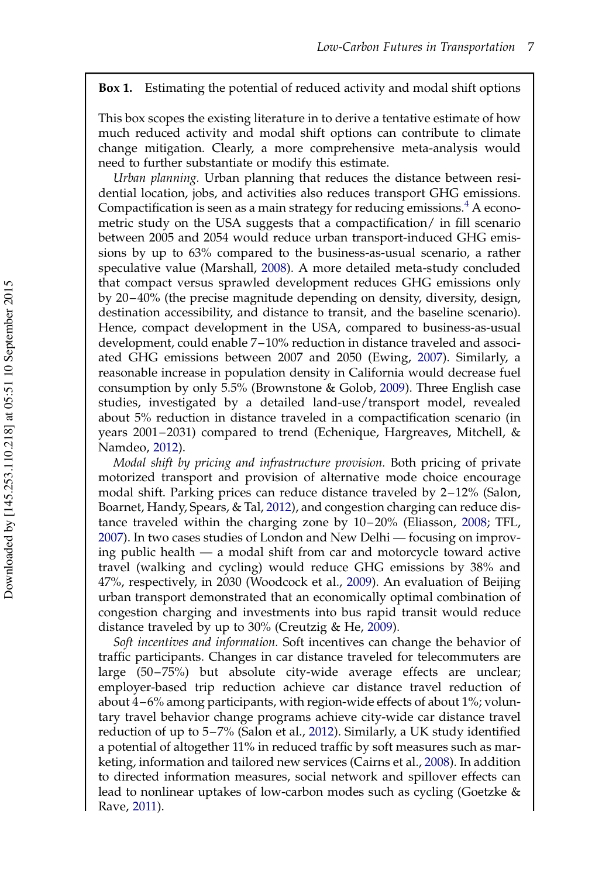# Box 1. Estimating the potential of reduced activity and modal shift options

This box scopes the existing literature in to derive a tentative estimate of how much reduced activity and modal shift options can contribute to climate change mitigation. Clearly, a more comprehensive meta-analysis would need to further substantiate or modify this estimate.

Urban planning. Urban planning that reduces the distance between residential location, jobs, and activities also reduces transport GHG emissions. Compactification is seen as a main strategy for reducing emissions. $4$  A econometric study on the USA suggests that a compactification/ in fill scenario between 2005 and 2054 would reduce urban transport-induced GHG emissions by up to 63% compared to the business-as-usual scenario, a rather speculative value (Marshall, [2008\)](#page-17-0). A more detailed meta-study concluded that compact versus sprawled development reduces GHG emissions only by 20 – 40% (the precise magnitude depending on density, diversity, design, destination accessibility, and distance to transit, and the baseline scenario). Hence, compact development in the USA, compared to business-as-usual development, could enable 7– 10% reduction in distance traveled and associated GHG emissions between 2007 and 2050 (Ewing, [2007\)](#page-16-0). Similarly, a reasonable increase in population density in California would decrease fuel consumption by only 5.5% (Brownstone & Golob, [2009\)](#page-15-0). Three English case studies, investigated by a detailed land-use/transport model, revealed about 5% reduction in distance traveled in a compactification scenario (in years  $2001 - 2031$ ) compared to trend (Echenique, Hargreaves, Mitchell, & Namdeo, [2012\)](#page-16-0).

Modal shift by pricing and infrastructure provision. Both pricing of private motorized transport and provision of alternative mode choice encourage modal shift. Parking prices can reduce distance traveled by 2 – 12% (Salon, Boarnet, Handy, Spears, & Tal, [2012](#page-17-0)), and congestion charging can reduce distance traveled within the charging zone by  $10-20\%$  (Eliasson, [2008](#page-16-0); TFL, [2007\)](#page-18-0). In two cases studies of London and New Delhi — focusing on improving public health — a modal shift from car and motorcycle toward active travel (walking and cycling) would reduce GHG emissions by 38% and 47%, respectively, in 2030 (Woodcock et al., [2009\)](#page-18-0). An evaluation of Beijing urban transport demonstrated that an economically optimal combination of congestion charging and investments into bus rapid transit would reduce distance traveled by up to 30% (Creutzig & He, [2009](#page-16-0)).

Soft incentives and information. Soft incentives can change the behavior of traffic participants. Changes in car distance traveled for telecommuters are large (50-75%) but absolute city-wide average effects are unclear; employer-based trip reduction achieve car distance travel reduction of about 4 – 6% among participants, with region-wide effects of about 1%; voluntary travel behavior change programs achieve city-wide car distance travel reduction of up to 5-7% (Salon et al., [2012\)](#page-17-0). Similarly, a UK study identified a potential of altogether 11% in reduced traffic by soft measures such as marketing, information and tailored new services (Cairns et al., [2008](#page-15-0)). In addition to directed information measures, social network and spillover effects can lead to nonlinear uptakes of low-carbon modes such as cycling (Goetzke & Rave, [2011\)](#page-16-0).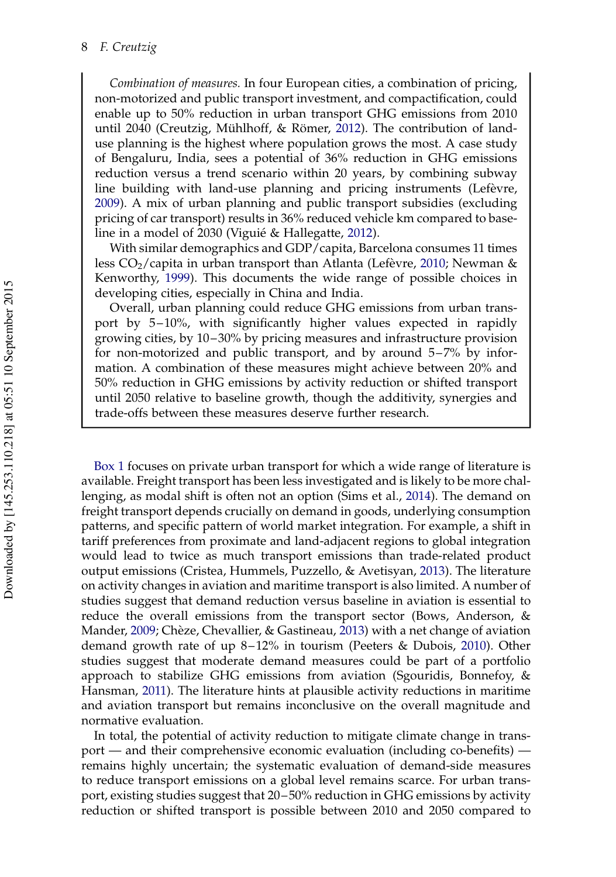Combination of measures. In four European cities, a combination of pricing, non-motorized and public transport investment, and compactification, could enable up to 50% reduction in urban transport GHG emissions from 2010 until 2040 (Creutzig, Mühlhoff, & Römer, [2012](#page-16-0)). The contribution of landuse planning is the highest where population grows the most. A case study of Bengaluru, India, sees a potential of 36% reduction in GHG emissions reduction versus a trend scenario within 20 years, by combining subway line building with land-use planning and pricing instruments (Lefèvre, [2009\)](#page-17-0). A mix of urban planning and public transport subsidies (excluding pricing of car transport) results in 36% reduced vehicle km compared to base-line in a model of 2030 (Viguié & Hallegatte, [2012](#page-18-0)).

With similar demographics and GDP/capita, Barcelona consumes 11 times less  $CO<sub>2</sub>/capita$  in urban transport than Atlanta (Lefèvre, [2010;](#page-17-0) Newman & Kenworthy, [1999](#page-17-0)). This documents the wide range of possible choices in developing cities, especially in China and India.

Overall, urban planning could reduce GHG emissions from urban transport by 5-10%, with significantly higher values expected in rapidly growing cities, by 10– 30% by pricing measures and infrastructure provision for non-motorized and public transport, and by around 5–7% by information. A combination of these measures might achieve between 20% and 50% reduction in GHG emissions by activity reduction or shifted transport until 2050 relative to baseline growth, though the additivity, synergies and trade-offs between these measures deserve further research.

Box 1 focuses on private urban transport for which a wide range of literature is available. Freight transport has been less investigated and is likely to be more challenging, as modal shift is often not an option (Sims et al., [2014](#page-18-0)). The demand on freight transport depends crucially on demand in goods, underlying consumption patterns, and specific pattern of world market integration. For example, a shift in tariff preferences from proximate and land-adjacent regions to global integration would lead to twice as much transport emissions than trade-related product output emissions (Cristea, Hummels, Puzzello, & Avetisyan, [2013](#page-16-0)). The literature on activity changes in aviation and maritime transport is also limited. A number of studies suggest that demand reduction versus baseline in aviation is essential to reduce the overall emissions from the transport sector (Bows, Anderson, & Mander, [2009;](#page-15-0) Chèze, Chevallier, & Gastineau, [2013\)](#page-15-0) with a net change of aviation demand growth rate of up 8–12% in tourism (Peeters & Dubois, [2010\)](#page-17-0). Other studies suggest that moderate demand measures could be part of a portfolio approach to stabilize GHG emissions from aviation (Sgouridis, Bonnefoy, & Hansman, [2011\)](#page-17-0). The literature hints at plausible activity reductions in maritime and aviation transport but remains inconclusive on the overall magnitude and normative evaluation.

In total, the potential of activity reduction to mitigate climate change in transport — and their comprehensive economic evaluation (including co-benefits) remains highly uncertain; the systematic evaluation of demand-side measures to reduce transport emissions on a global level remains scarce. For urban transport, existing studies suggest that 20–50% reduction in GHG emissions by activity reduction or shifted transport is possible between 2010 and 2050 compared to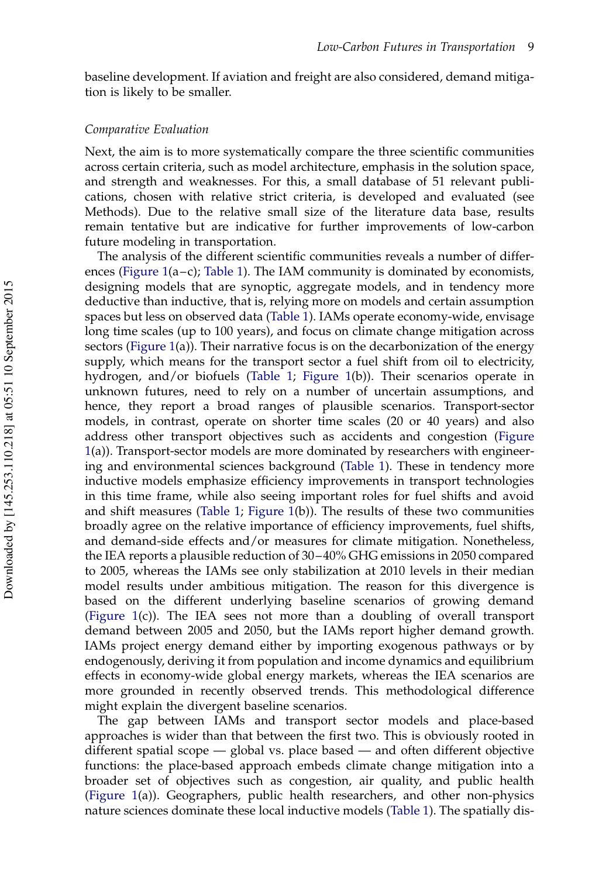baseline development. If aviation and freight are also considered, demand mitigation is likely to be smaller.

### Comparative Evaluation

Next, the aim is to more systematically compare the three scientific communities across certain criteria, such as model architecture, emphasis in the solution space, and strength and weaknesses. For this, a small database of 51 relevant publications, chosen with relative strict criteria, is developed and evaluated (see Methods). Due to the relative small size of the literature data base, results remain tentative but are indicative for further improvements of low-carbon future modeling in transportation.

The analysis of the different scientific communities reveals a number of differences (Figure  $1(a-c)$ ; [Table 1\)](#page-2-0). The IAM community is dominated by economists, designing models that are synoptic, aggregate models, and in tendency more deductive than inductive, that is, relying more on models and certain assumption spaces but less on observed data ([Table 1](#page-2-0)). IAMs operate economy-wide, envisage long time scales (up to 100 years), and focus on climate change mitigation across sectors [\(Figure 1\(](#page-9-0)a)). Their narrative focus is on the decarbonization of the energy supply, which means for the transport sector a fuel shift from oil to electricity, hydrogen, and/or biofuels ([Table 1;](#page-2-0) [Figure 1\(](#page-9-0)b)). Their scenarios operate in unknown futures, need to rely on a number of uncertain assumptions, and hence, they report a broad ranges of plausible scenarios. Transport-sector models, in contrast, operate on shorter time scales (20 or 40 years) and also address other transport objectives such as accidents and congestion [\(Figure](#page-9-0) [1](#page-9-0)(a)). Transport-sector models are more dominated by researchers with engineering and environmental sciences background [\(Table 1\)](#page-2-0). These in tendency more inductive models emphasize efficiency improvements in transport technologies in this time frame, while also seeing important roles for fuel shifts and avoid and shift measures ([Table 1;](#page-2-0) [Figure 1](#page-9-0)(b)). The results of these two communities broadly agree on the relative importance of efficiency improvements, fuel shifts, and demand-side effects and/or measures for climate mitigation. Nonetheless, the IEA reports a plausible reduction of 30 – 40% GHG emissions in 2050 compared to 2005, whereas the IAMs see only stabilization at 2010 levels in their median model results under ambitious mitigation. The reason for this divergence is based on the different underlying baseline scenarios of growing demand [\(Figure 1\(](#page-9-0)c)). The IEA sees not more than a doubling of overall transport demand between 2005 and 2050, but the IAMs report higher demand growth. IAMs project energy demand either by importing exogenous pathways or by endogenously, deriving it from population and income dynamics and equilibrium effects in economy-wide global energy markets, whereas the IEA scenarios are more grounded in recently observed trends. This methodological difference might explain the divergent baseline scenarios.

The gap between IAMs and transport sector models and place-based approaches is wider than that between the first two. This is obviously rooted in different spatial scope — global vs. place based — and often different objective functions: the place-based approach embeds climate change mitigation into a broader set of objectives such as congestion, air quality, and public health [\(Figure 1](#page-9-0)(a)). Geographers, public health researchers, and other non-physics nature sciences dominate these local inductive models ([Table 1\)](#page-2-0). The spatially dis-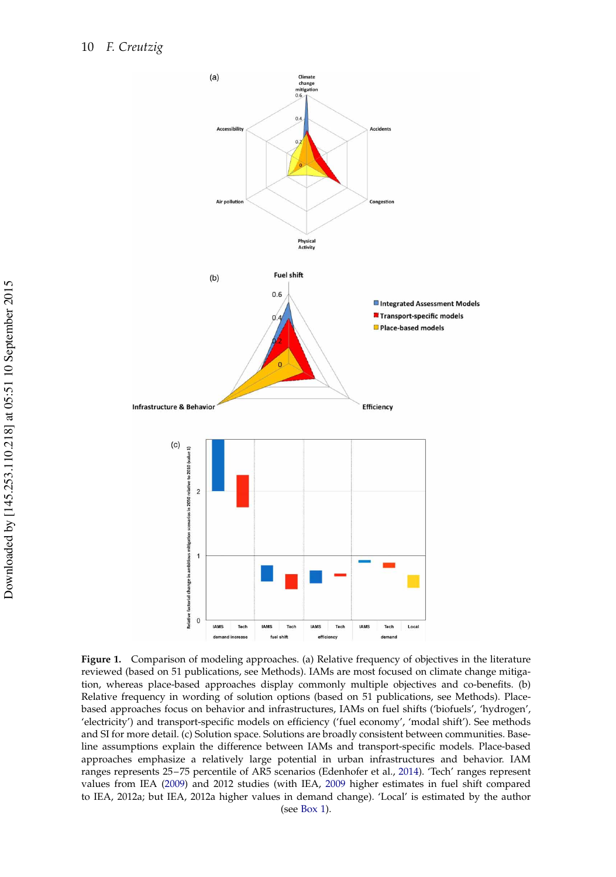<span id="page-9-0"></span>

Figure 1. Comparison of modeling approaches. (a) Relative frequency of objectives in the literature reviewed (based on 51 publications, see Methods). IAMs are most focused on climate change mitigation, whereas place-based approaches display commonly multiple objectives and co-benefits. (b) Relative frequency in wording of solution options (based on 51 publications, see Methods). Placebased approaches focus on behavior and infrastructures, IAMs on fuel shifts ('biofuels', 'hydrogen', 'electricity') and transport-specific models on efficiency ('fuel economy', 'modal shift'). See methods and SI for more detail. (c) Solution space. Solutions are broadly consistent between communities. Baseline assumptions explain the difference between IAMs and transport-specific models. Place-based approaches emphasize a relatively large potential in urban infrastructures and behavior. IAM ranges represents 25–75 percentile of AR5 scenarios (Edenhofer et al., [2014](#page-16-0)). 'Tech' ranges represent values from IEA [\(2009\)](#page-16-0) and 2012 studies (with IEA, [2009](#page-16-0) higher estimates in fuel shift compared to IEA, 2012a; but IEA, 2012a higher values in demand change). 'Local' is estimated by the author (see Box 1).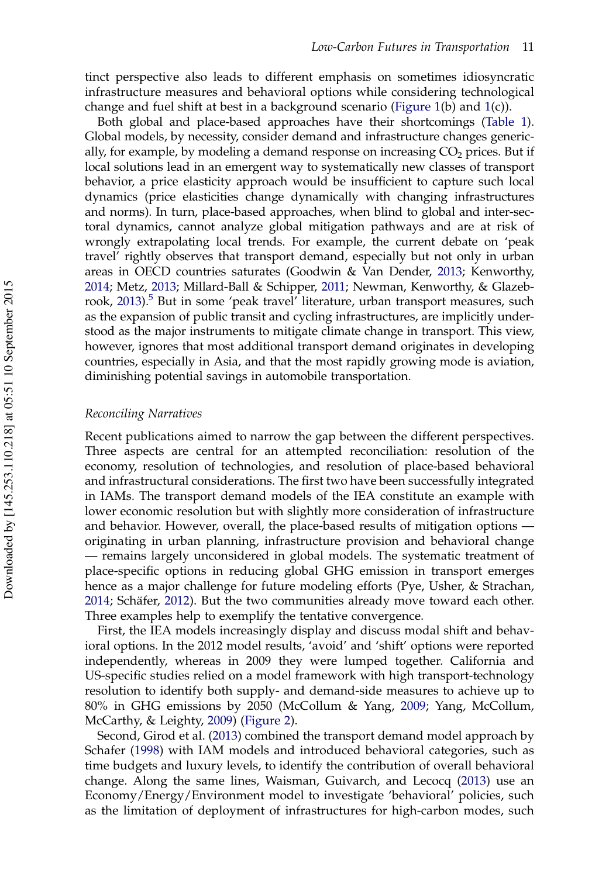tinct perspective also leads to different emphasis on sometimes idiosyncratic infrastructure measures and behavioral options while considering technological change and fuel shift at best in a background scenario [\(Figure 1](#page-9-0)(b) and [1](#page-9-0)(c)).

Both global and place-based approaches have their shortcomings [\(Table 1](#page-2-0)). Global models, by necessity, consider demand and infrastructure changes generically, for example, by modeling a demand response on increasing  $CO<sub>2</sub>$  prices. But if local solutions lead in an emergent way to systematically new classes of transport behavior, a price elasticity approach would be insufficient to capture such local dynamics (price elasticities change dynamically with changing infrastructures and norms). In turn, place-based approaches, when blind to global and inter-sectoral dynamics, cannot analyze global mitigation pathways and are at risk of wrongly extrapolating local trends. For example, the current debate on 'peak travel' rightly observes that transport demand, especially but not only in urban areas in OECD countries saturates (Goodwin & Van Dender, [2013](#page-16-0); Kenworthy, [2014;](#page-17-0) Metz, [2013](#page-17-0); Millard-Ball & Schipper, [2011;](#page-17-0) Newman, Kenworthy, & Glazeb-rook, [2013](#page-17-0)).<sup>5</sup> But in some 'peak travel' literature, urban transport measures, such as the expansion of public transit and cycling infrastructures, are implicitly understood as the major instruments to mitigate climate change in transport. This view, however, ignores that most additional transport demand originates in developing countries, especially in Asia, and that the most rapidly growing mode is aviation, diminishing potential savings in automobile transportation.

#### Reconciling Narratives

Recent publications aimed to narrow the gap between the different perspectives. Three aspects are central for an attempted reconciliation: resolution of the economy, resolution of technologies, and resolution of place-based behavioral and infrastructural considerations. The first two have been successfully integrated in IAMs. The transport demand models of the IEA constitute an example with lower economic resolution but with slightly more consideration of infrastructure and behavior. However, overall, the place-based results of mitigation options originating in urban planning, infrastructure provision and behavioral change — remains largely unconsidered in global models. The systematic treatment of place-specific options in reducing global GHG emission in transport emerges hence as a major challenge for future modeling efforts (Pye, Usher, & Strachan, [2014](#page-17-0); Schäfer, [2012\)](#page-17-0). But the two communities already move toward each other. Three examples help to exemplify the tentative convergence.

First, the IEA models increasingly display and discuss modal shift and behavioral options. In the 2012 model results, 'avoid' and 'shift' options were reported independently, whereas in 2009 they were lumped together. California and US-specific studies relied on a model framework with high transport-technology resolution to identify both supply- and demand-side measures to achieve up to 80% in GHG emissions by 2050 (McCollum & Yang, [2009](#page-17-0); Yang, McCollum, McCarthy, & Leighty, [2009](#page-18-0)) [\(Figure 2\)](#page-11-0).

Second, Girod et al. [\(2013](#page-16-0)) combined the transport demand model approach by Schafer ([1998\)](#page-17-0) with IAM models and introduced behavioral categories, such as time budgets and luxury levels, to identify the contribution of overall behavioral change. Along the same lines, Waisman, Guivarch, and Lecocq ([2013\)](#page-18-0) use an Economy/Energy/Environment model to investigate 'behavioral' policies, such as the limitation of deployment of infrastructures for high-carbon modes, such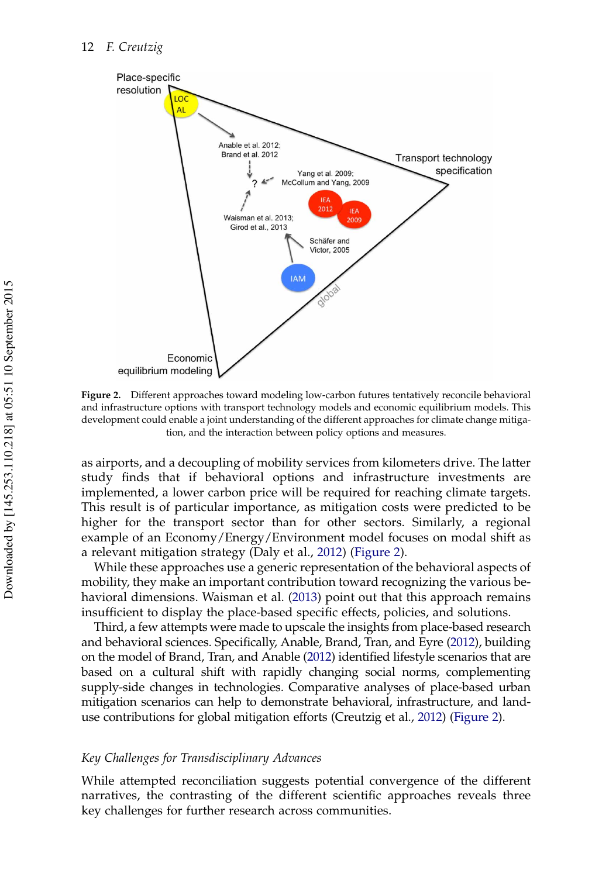<span id="page-11-0"></span>

Figure 2. Different approaches toward modeling low-carbon futures tentatively reconcile behavioral and infrastructure options with transport technology models and economic equilibrium models. This development could enable a joint understanding of the different approaches for climate change mitigation, and the interaction between policy options and measures.

as airports, and a decoupling of mobility services from kilometers drive. The latter study finds that if behavioral options and infrastructure investments are implemented, a lower carbon price will be required for reaching climate targets. This result is of particular importance, as mitigation costs were predicted to be higher for the transport sector than for other sectors. Similarly, a regional example of an Economy/Energy/Environment model focuses on modal shift as a relevant mitigation strategy (Daly et al., [2012](#page-16-0)) (Figure 2).

While these approaches use a generic representation of the behavioral aspects of mobility, they make an important contribution toward recognizing the various behavioral dimensions. Waisman et al. [\(2013](#page-18-0)) point out that this approach remains insufficient to display the place-based specific effects, policies, and solutions.

Third, a few attempts were made to upscale the insights from place-based research and behavioral sciences. Specifically, Anable, Brand, Tran, and Eyre [\(2012](#page-15-0)), building on the model of Brand, Tran, and Anable [\(2012](#page-15-0)) identified lifestyle scenarios that are based on a cultural shift with rapidly changing social norms, complementing supply-side changes in technologies. Comparative analyses of place-based urban mitigation scenarios can help to demonstrate behavioral, infrastructure, and landuse contributions for global mitigation efforts (Creutzig et al., [2012](#page-16-0)) (Figure 2).

## Key Challenges for Transdisciplinary Advances

While attempted reconciliation suggests potential convergence of the different narratives, the contrasting of the different scientific approaches reveals three key challenges for further research across communities.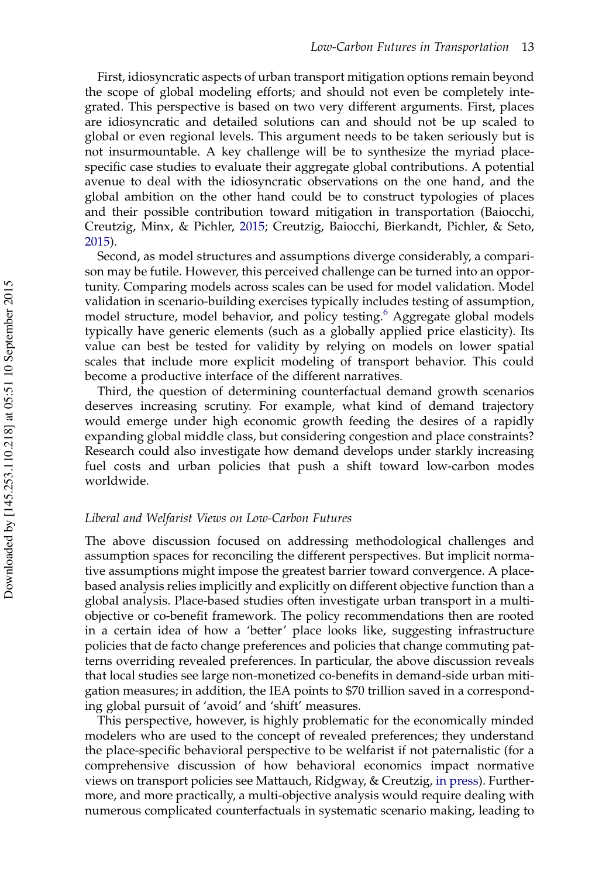First, idiosyncratic aspects of urban transport mitigation options remain beyond the scope of global modeling efforts; and should not even be completely integrated. This perspective is based on two very different arguments. First, places are idiosyncratic and detailed solutions can and should not be up scaled to global or even regional levels. This argument needs to be taken seriously but is not insurmountable. A key challenge will be to synthesize the myriad placespecific case studies to evaluate their aggregate global contributions. A potential avenue to deal with the idiosyncratic observations on the one hand, and the global ambition on the other hand could be to construct typologies of places and their possible contribution toward mitigation in transportation (Baiocchi, Creutzig, Minx, & Pichler, [2015](#page-15-0); Creutzig, Baiocchi, Bierkandt, Pichler, & Seto, [2015](#page-16-0)).

Second, as model structures and assumptions diverge considerably, a comparison may be futile. However, this perceived challenge can be turned into an opportunity. Comparing models across scales can be used for model validation. Model validation in scenario-building exercises typically includes testing of assumption, model structure, model behavior, and policy testing.<sup>[6](#page-15-0)</sup> Aggregate global models typically have generic elements (such as a globally applied price elasticity). Its value can best be tested for validity by relying on models on lower spatial scales that include more explicit modeling of transport behavior. This could become a productive interface of the different narratives.

Third, the question of determining counterfactual demand growth scenarios deserves increasing scrutiny. For example, what kind of demand trajectory would emerge under high economic growth feeding the desires of a rapidly expanding global middle class, but considering congestion and place constraints? Research could also investigate how demand develops under starkly increasing fuel costs and urban policies that push a shift toward low-carbon modes worldwide.

# Liberal and Welfarist Views on Low-Carbon Futures

The above discussion focused on addressing methodological challenges and assumption spaces for reconciling the different perspectives. But implicit normative assumptions might impose the greatest barrier toward convergence. A placebased analysis relies implicitly and explicitly on different objective function than a global analysis. Place-based studies often investigate urban transport in a multiobjective or co-benefit framework. The policy recommendations then are rooted in a certain idea of how a 'better' place looks like, suggesting infrastructure policies that de facto change preferences and policies that change commuting patterns overriding revealed preferences. In particular, the above discussion reveals that local studies see large non-monetized co-benefits in demand-side urban mitigation measures; in addition, the IEA points to \$70 trillion saved in a corresponding global pursuit of 'avoid' and 'shift' measures.

This perspective, however, is highly problematic for the economically minded modelers who are used to the concept of revealed preferences; they understand the place-specific behavioral perspective to be welfarist if not paternalistic (for a comprehensive discussion of how behavioral economics impact normative views on transport policies see Mattauch, Ridgway, & Creutzig, [in press](#page-17-0)). Furthermore, and more practically, a multi-objective analysis would require dealing with numerous complicated counterfactuals in systematic scenario making, leading to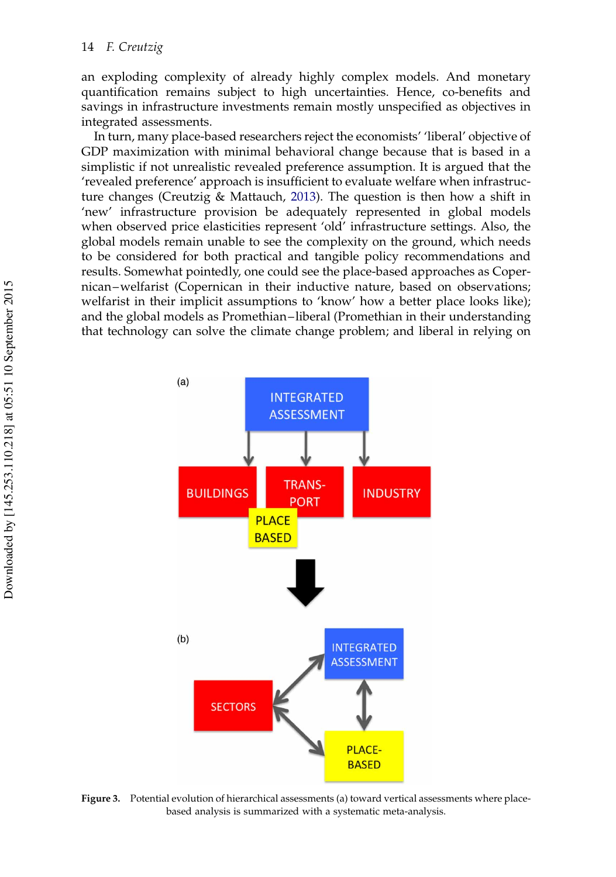<span id="page-13-0"></span>an exploding complexity of already highly complex models. And monetary quantification remains subject to high uncertainties. Hence, co-benefits and savings in infrastructure investments remain mostly unspecified as objectives in integrated assessments.

In turn, many place-based researchers reject the economists' 'liberal' objective of GDP maximization with minimal behavioral change because that is based in a simplistic if not unrealistic revealed preference assumption. It is argued that the 'revealed preference' approach is insufficient to evaluate welfare when infrastructure changes (Creutzig & Mattauch, [2013](#page-16-0)). The question is then how a shift in 'new' infrastructure provision be adequately represented in global models when observed price elasticities represent 'old' infrastructure settings. Also, the global models remain unable to see the complexity on the ground, which needs to be considered for both practical and tangible policy recommendations and results. Somewhat pointedly, one could see the place-based approaches as Copernican –welfarist (Copernican in their inductive nature, based on observations; welfarist in their implicit assumptions to 'know' how a better place looks like); and the global models as Promethian-liberal (Promethian in their understanding that technology can solve the climate change problem; and liberal in relying on



Figure 3. Potential evolution of hierarchical assessments (a) toward vertical assessments where placebased analysis is summarized with a systematic meta-analysis.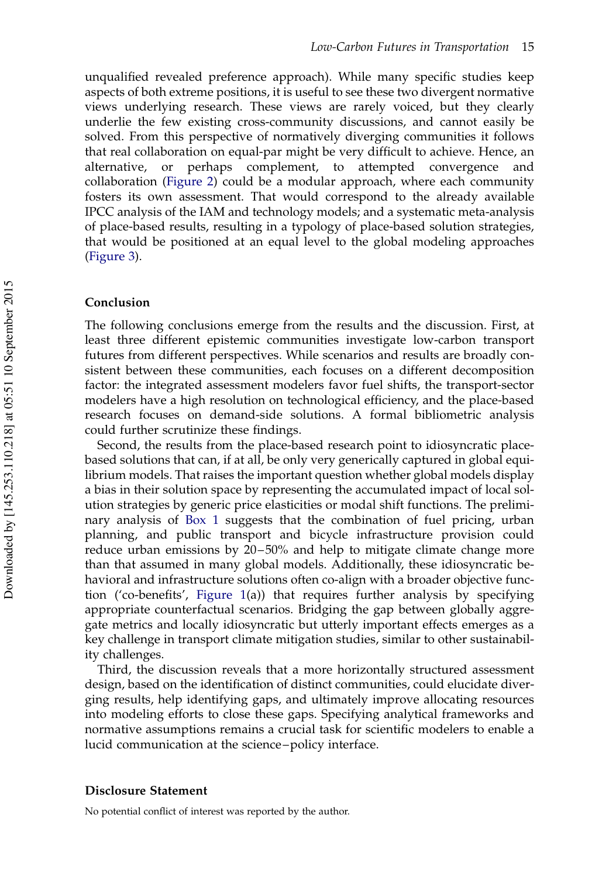unqualified revealed preference approach). While many specific studies keep aspects of both extreme positions, it is useful to see these two divergent normative views underlying research. These views are rarely voiced, but they clearly underlie the few existing cross-community discussions, and cannot easily be solved. From this perspective of normatively diverging communities it follows that real collaboration on equal-par might be very difficult to achieve. Hence, an alternative, or perhaps complement, to attempted convergence and collaboration [\(Figure 2](#page-11-0)) could be a modular approach, where each community fosters its own assessment. That would correspond to the already available IPCC analysis of the IAM and technology models; and a systematic meta-analysis of place-based results, resulting in a typology of place-based solution strategies, that would be positioned at an equal level to the global modeling approaches [\(Figure 3](#page-13-0)).

### Conclusion

The following conclusions emerge from the results and the discussion. First, at least three different epistemic communities investigate low-carbon transport futures from different perspectives. While scenarios and results are broadly consistent between these communities, each focuses on a different decomposition factor: the integrated assessment modelers favor fuel shifts, the transport-sector modelers have a high resolution on technological efficiency, and the place-based research focuses on demand-side solutions. A formal bibliometric analysis could further scrutinize these findings.

Second, the results from the place-based research point to idiosyncratic placebased solutions that can, if at all, be only very generically captured in global equilibrium models. That raises the important question whether global models display a bias in their solution space by representing the accumulated impact of local solution strategies by generic price elasticities or modal shift functions. The preliminary analysis of Box 1 suggests that the combination of fuel pricing, urban planning, and public transport and bicycle infrastructure provision could reduce urban emissions by 20–50% and help to mitigate climate change more than that assumed in many global models. Additionally, these idiosyncratic behavioral and infrastructure solutions often co-align with a broader objective function ('co-benefits', [Figure 1](#page-9-0)(a)) that requires further analysis by specifying appropriate counterfactual scenarios. Bridging the gap between globally aggregate metrics and locally idiosyncratic but utterly important effects emerges as a key challenge in transport climate mitigation studies, similar to other sustainability challenges.

Third, the discussion reveals that a more horizontally structured assessment design, based on the identification of distinct communities, could elucidate diverging results, help identifying gaps, and ultimately improve allocating resources into modeling efforts to close these gaps. Specifying analytical frameworks and normative assumptions remains a crucial task for scientific modelers to enable a lucid communication at the science –policy interface.

#### Disclosure Statement

No potential conflict of interest was reported by the author.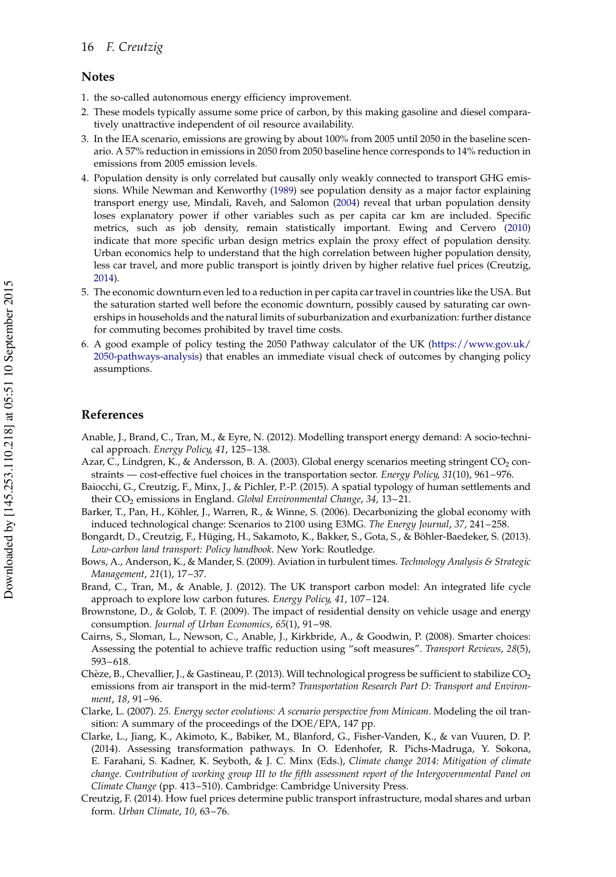#### <span id="page-15-0"></span>Notes

- 1. the so-called autonomous energy efficiency improvement.
- 2. These models typically assume some price of carbon, by this making gasoline and diesel comparatively unattractive independent of oil resource availability.
- 3. In the IEA scenario, emissions are growing by about 100% from 2005 until 2050 in the baseline scenario. A 57% reduction in emissions in 2050 from 2050 baseline hence corresponds to 14% reduction in emissions from 2005 emission levels.
- 4. Population density is only correlated but causally only weakly connected to transport GHG emissions. While Newman and Kenworthy [\(1989](#page-17-0)) see population density as a major factor explaining transport energy use, Mindali, Raveh, and Salomon [\(2004](#page-17-0)) reveal that urban population density loses explanatory power if other variables such as per capita car km are included. Specific metrics, such as job density, remain statistically important. Ewing and Cervero ([2010\)](#page-16-0) indicate that more specific urban design metrics explain the proxy effect of population density. Urban economics help to understand that the high correlation between higher population density, less car travel, and more public transport is jointly driven by higher relative fuel prices (Creutzig, 2014).
- 5. The economic downturn even led to a reduction in per capita car travel in countries like the USA. But the saturation started well before the economic downturn, possibly caused by saturating car ownerships in households and the natural limits of suburbanization and exurbanization: further distance for commuting becomes prohibited by travel time costs.
- 6. A good example of policy testing the 2050 Pathway calculator of the UK ([https://www.gov.uk/](http://www.gov.uk/2050-pathways-analysis) [2050-pathways-analysis](http://www.gov.uk/2050-pathways-analysis)) that enables an immediate visual check of outcomes by changing policy assumptions.

#### References

- Anable, J., Brand, C., Tran, M., & Eyre, N. (2012). Modelling transport energy demand: A socio-technical approach. Energy Policy, 41, 125–138.
- Azar, C., Lindgren, K., & Andersson, B. A. (2003). Global energy scenarios meeting stringent CO<sub>2</sub> constraints — cost-effective fuel choices in the transportation sector. Energy Policy, 31(10), 961-976.
- Baiocchi, G., Creutzig, F., Minx, J., & Pichler, P.-P. (2015). A spatial typology of human settlements and their  $CO<sub>2</sub>$  emissions in England. Global Environmental Change, 34, 13–21.
- Barker, T., Pan, H., Köhler, J., Warren, R., & Winne, S. (2006). Decarbonizing the global economy with induced technological change: Scenarios to 2100 using E3MG. The Energy Journal, 37, 241-258.
- Bongardt, D., Creutzig, F., Hüging, H., Sakamoto, K., Bakker, S., Gota, S., & Böhler-Baedeker, S. (2013). Low-carbon land transport: Policy handbook. New York: Routledge.
- Bows, A., Anderson, K., & Mander, S. (2009). Aviation in turbulent times. Technology Analysis & Strategic Management, 21(1), 17–37.
- Brand, C., Tran, M., & Anable, J. (2012). The UK transport carbon model: An integrated life cycle approach to explore low carbon futures. Energy Policy, 41, 107-124.
- Brownstone, D., & Golob, T. F. (2009). The impact of residential density on vehicle usage and energy consumption. Journal of Urban Economics, 65(1), 91–98.
- Cairns, S., Sloman, L., Newson, C., Anable, J., Kirkbride, A., & Goodwin, P. (2008). Smarter choices: Assessing the potential to achieve traffic reduction using "soft measures". Transport Reviews, 28(5), 593– 618.
- Chèze, B., Chevallier, J., & Gastineau, P. (2013). Will technological progress be sufficient to stabilize  $CO<sub>2</sub>$ emissions from air transport in the mid-term? Transportation Research Part D: Transport and Environment, 18, 91-96.
- Clarke, L. (2007). 25. Energy sector evolutions: A scenario perspective from Minicam. Modeling the oil transition: A summary of the proceedings of the DOE/EPA, 147 pp.
- Clarke, L., Jiang, K., Akimoto, K., Babiker, M., Blanford, G., Fisher-Vanden, K., & van Vuuren, D. P. (2014). Assessing transformation pathways. In O. Edenhofer, R. Pichs-Madruga, Y. Sokona, E. Farahani, S. Kadner, K. Seyboth, & J. C. Minx (Eds.), Climate change 2014: Mitigation of climate change. Contribution of working group III to the fifth assessment report of the Intergovernmental Panel on Climate Change (pp. 413–510). Cambridge: Cambridge University Press.
- Creutzig, F. (2014). How fuel prices determine public transport infrastructure, modal shares and urban form. Urban Climate, 10, 63–76.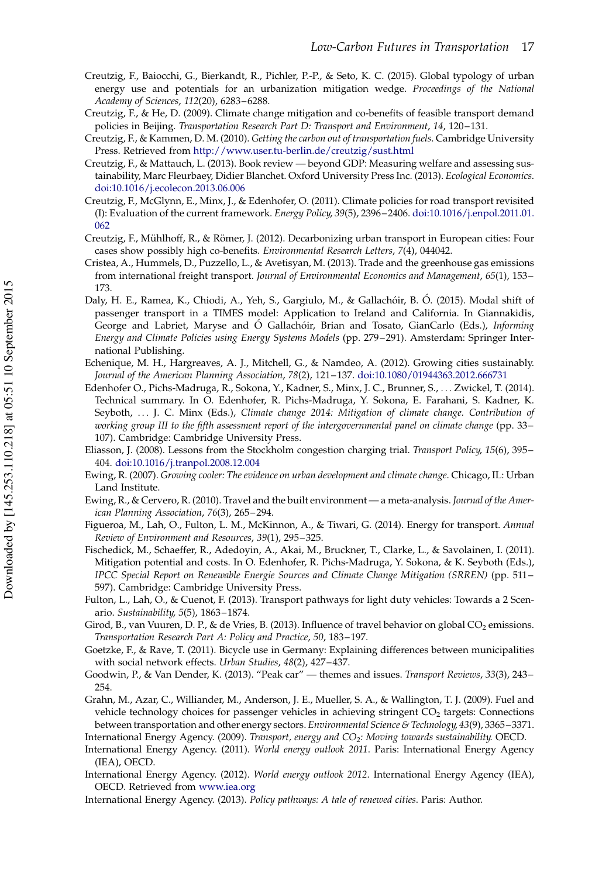- <span id="page-16-0"></span>Creutzig, F., Baiocchi, G., Bierkandt, R., Pichler, P.-P., & Seto, K. C. (2015). Global typology of urban energy use and potentials for an urbanization mitigation wedge. Proceedings of the National Academy of Sciences, 112(20), 6283–6288.
- Creutzig, F., & He, D. (2009). Climate change mitigation and co-benefits of feasible transport demand policies in Beijing. Transportation Research Part D: Transport and Environment, 14, 120–131.
- Creutzig, F., & Kammen, D. M. (2010). Getting the carbon out of transportation fuels. Cambridge University Press. Retrieved from <http://www.user.tu-berlin.de/creutzig/sust.html>
- Creutzig, F., & Mattauch, L. (2013). Book review beyond GDP: Measuring welfare and assessing sustainability, Marc Fleurbaey, Didier Blanchet. Oxford University Press Inc. (2013). Ecological Economics. [doi:10.1016/j.ecolecon.2013.06.006](http://dx.doi.org/10.1016/j.ecolecon.2013.06.006)
- Creutzig, F., McGlynn, E., Minx, J., & Edenhofer, O. (2011). Climate policies for road transport revisited (I): Evaluation of the current framework. Energy Policy, 39(5), 2396–2406. [doi:10.1016/j.enpol.2011.01.](http://dx.doi.org/10.1016/j.enpol.2011.01.062) [062](http://dx.doi.org/10.1016/j.enpol.2011.01.062)
- Creutzig, F., Mühlhoff, R., & Römer, J. (2012). Decarbonizing urban transport in European cities: Four cases show possibly high co-benefits. Environmental Research Letters, 7(4), 044042.
- Cristea, A., Hummels, D., Puzzello, L., & Avetisyan, M. (2013). Trade and the greenhouse gas emissions from international freight transport. Journal of Environmental Economics and Management, 65(1), 153– 173.
- Daly, H. E., Ramea, K., Chiodi, A., Yeh, S., Gargiulo, M., & Gallachóir, B. Ó. (2015). Modal shift of passenger transport in a TIMES model: Application to Ireland and California. In Giannakidis, George and Labriet, Maryse and Ó Gallachóir, Brian and Tosato, GianCarlo (Eds.), Informing Energy and Climate Policies using Energy Systems Models (pp. 279– 291). Amsterdam: Springer International Publishing.
- Echenique, M. H., Hargreaves, A. J., Mitchell, G., & Namdeo, A. (2012). Growing cities sustainably. Journal of the American Planning Association, 78(2), 121–137. [doi:10.1080/01944363.2012.666731](http://dx.doi.org/10.1080/01944363.2012.666731)
- Edenhofer O., Pichs-Madruga, R., Sokona, Y., Kadner, S., Minx, J. C., Brunner, S., ... Zwickel, T. (2014). Technical summary. In O. Edenhofer, R. Pichs-Madruga, Y. Sokona, E. Farahani, S. Kadner, K. Seyboth, ... J. C. Minx (Eds.), Climate change 2014: Mitigation of climate change. Contribution of working group III to the fifth assessment report of the intergovernmental panel on climate change (pp. 33– 107). Cambridge: Cambridge University Press.
- Eliasson, J. (2008). Lessons from the Stockholm congestion charging trial. Transport Policy, 15(6), 395 404. [doi:10.1016/j.tranpol.2008.12.004](http://dx.doi.org/10.1016/j.tranpol.2008.12.004)
- Ewing, R. (2007). Growing cooler: The evidence on urban development and climate change. Chicago, IL: Urban Land Institute.
- Ewing, R., & Cervero, R. (2010). Travel and the built environment a meta-analysis. Journal of the American Planning Association, 76(3), 265– 294.
- Figueroa, M., Lah, O., Fulton, L. M., McKinnon, A., & Tiwari, G. (2014). Energy for transport. Annual Review of Environment and Resources, 39(1), 295– 325.
- Fischedick, M., Schaeffer, R., Adedoyin, A., Akai, M., Bruckner, T., Clarke, L., & Savolainen, I. (2011). Mitigation potential and costs. In O. Edenhofer, R. Pichs-Madruga, Y. Sokona, & K. Seyboth (Eds.), IPCC Special Report on Renewable Energie Sources and Climate Change Mitigation (SRREN) (pp. 511 – 597). Cambridge: Cambridge University Press.
- Fulton, L., Lah, O., & Cuenot, F. (2013). Transport pathways for light duty vehicles: Towards a 2 Scenario. Sustainability, 5(5), 1863–1874.
- Girod, B., van Vuuren, D. P., & de Vries, B. (2013). Influence of travel behavior on global  $CO_2$  emissions. Transportation Research Part A: Policy and Practice, 50, 183– 197.
- Goetzke, F., & Rave, T. (2011). Bicycle use in Germany: Explaining differences between municipalities with social network effects. Urban Studies, 48(2), 427-437.
- Goodwin, P., & Van Dender, K. (2013). "Peak car" themes and issues. Transport Reviews, 33(3), 243– 254.

Grahn, M., Azar, C., Williander, M., Anderson, J. E., Mueller, S. A., & Wallington, T. J. (2009). Fuel and vehicle technology choices for passenger vehicles in achieving stringent  $CO<sub>2</sub>$  targets: Connections between transportation and other energy sectors. Environmental Science & Technology, 43(9), 3365–3371. International Energy Agency. (2009). Transport, energy and  $CO<sub>2</sub>$ : Moving towards sustainability. OECD.

- International Energy Agency. (2011). World energy outlook 2011. Paris: International Energy Agency (IEA), OECD.
- International Energy Agency. (2012). World energy outlook 2012. International Energy Agency (IEA), OECD. Retrieved from [www.iea.org](http://www.iea.org)
- International Energy Agency. (2013). Policy pathways: A tale of renewed cities. Paris: Author.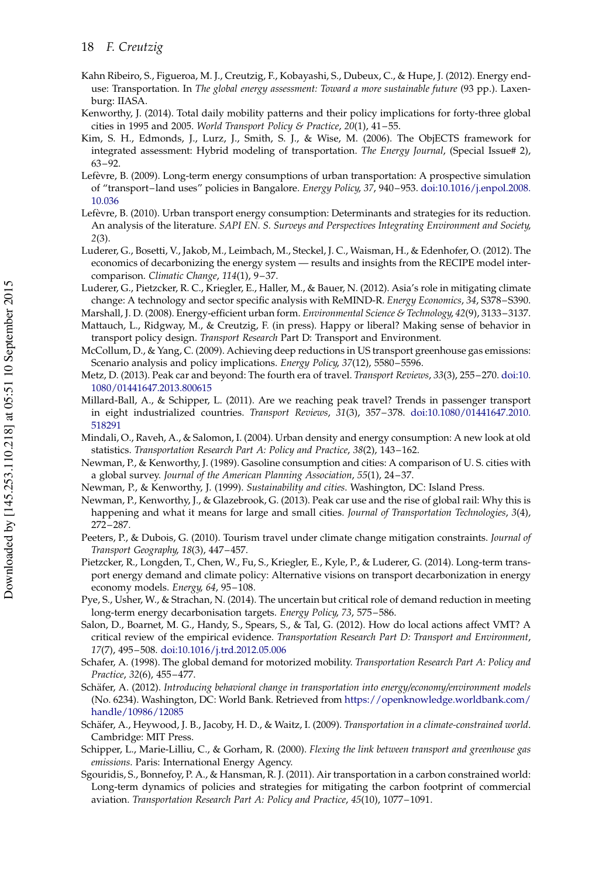- <span id="page-17-0"></span>Kahn Ribeiro, S., Figueroa, M. J., Creutzig, F., Kobayashi, S., Dubeux, C., & Hupe, J. (2012). Energy enduse: Transportation. In The global energy assessment: Toward a more sustainable future (93 pp.). Laxenburg: IIASA.
- Kenworthy, J. (2014). Total daily mobility patterns and their policy implications for forty-three global cities in 1995 and 2005. World Transport Policy & Practice, 20(1),  $41-55$ .
- Kim, S. H., Edmonds, J., Lurz, J., Smith, S. J., & Wise, M. (2006). The ObjECTS framework for integrated assessment: Hybrid modeling of transportation. The Energy Journal, (Special Issue# 2), 63–92.
- Lefèvre, B. (2009). Long-term energy consumptions of urban transportation: A prospective simulation of "transport–land uses" policies in Bangalore. Energy Policy, 37, 940– 953. [doi:10.1016/j.enpol.2008.](http://dx.doi.org/10.1016/j.enpol.2008.10.036) [10.036](http://dx.doi.org/10.1016/j.enpol.2008.10.036)
- Lefèvre, B. (2010). Urban transport energy consumption: Determinants and strategies for its reduction. An analysis of the literature. SAPI EN. S. Surveys and Perspectives Integrating Environment and Society, 2(3).
- Luderer, G., Bosetti, V., Jakob, M., Leimbach, M., Steckel, J. C., Waisman, H., & Edenhofer, O. (2012). The economics of decarbonizing the energy system — results and insights from the RECIPE model intercomparison. Climatic Change, 114(1), 9–37.
- Luderer, G., Pietzcker, R. C., Kriegler, E., Haller, M., & Bauer, N. (2012). Asia's role in mitigating climate change: A technology and sector specific analysis with ReMIND-R. Energy Economics, 34, S378–S390.
- Marshall, J. D. (2008). Energy-efficient urban form. Environmental Science & Technology, 42(9), 3133-3137.
- Mattauch, L., Ridgway, M., & Creutzig, F. (in press). Happy or liberal? Making sense of behavior in transport policy design. Transport Research Part D: Transport and Environment.
- McCollum, D., & Yang, C. (2009). Achieving deep reductions in US transport greenhouse gas emissions: Scenario analysis and policy implications. Energy Policy, 37(12), 5580–5596.
- Metz, D. (2013). Peak car and beyond: The fourth era of travel. Transport Reviews, 33(3), 255 –270. [doi:10.](http://dx.doi.org/10.1080/01441647.2013.800615) [1080/01441647.2013.800615](http://dx.doi.org/10.1080/01441647.2013.800615)
- Millard-Ball, A., & Schipper, L. (2011). Are we reaching peak travel? Trends in passenger transport in eight industrialized countries. Transport Reviews, 31(3), 357– 378. [doi:10.1080/01441647.2010.](http://dx.doi.org/10.1080/01441647.2010.518291) [518291](http://dx.doi.org/10.1080/01441647.2010.518291)
- Mindali, O., Raveh, A., & Salomon, I. (2004). Urban density and energy consumption: A new look at old statistics. Transportation Research Part A: Policy and Practice, 38(2), 143–162.
- Newman, P., & Kenworthy, J. (1989). Gasoline consumption and cities: A comparison of U. S. cities with a global survey. Journal of the American Planning Association, 55(1), 24-37.
- Newman, P., & Kenworthy, J. (1999). Sustainability and cities. Washington, DC: Island Press.
- Newman, P., Kenworthy, J., & Glazebrook, G. (2013). Peak car use and the rise of global rail: Why this is happening and what it means for large and small cities. Journal of Transportation Technologies, 3(4), 272– 287.
- Peeters, P., & Dubois, G. (2010). Tourism travel under climate change mitigation constraints. Journal of Transport Geography, 18(3), 447–457.
- Pietzcker, R., Longden, T., Chen, W., Fu, S., Kriegler, E., Kyle, P., & Luderer, G. (2014). Long-term transport energy demand and climate policy: Alternative visions on transport decarbonization in energy economy models. Energy, 64, 95-108.
- Pye, S., Usher, W., & Strachan, N. (2014). The uncertain but critical role of demand reduction in meeting long-term energy decarbonisation targets. Energy Policy, 73, 575–586.
- Salon, D., Boarnet, M. G., Handy, S., Spears, S., & Tal, G. (2012). How do local actions affect VMT? A critical review of the empirical evidence. Transportation Research Part D: Transport and Environment, 17(7), 495 –508. [doi:10.1016/j.trd.2012.05.006](http://dx.doi.org/10.1016/j.trd.2012.05.006)
- Schafer, A. (1998). The global demand for motorized mobility. Transportation Research Part A: Policy and Practice, 32(6), 455–477.
- Schäfer, A. (2012). Introducing behavioral change in transportation into energy/economy/environment models (No. 6234). Washington, DC: World Bank. Retrieved from [https://openknowledge.worldbank.com/](http://openknowledge.worldbank.com/handle/10986/12085) [handle/10986/12085](http://openknowledge.worldbank.com/handle/10986/12085)
- Schäfer, A., Heywood, J. B., Jacoby, H. D., & Waitz, I. (2009). Transportation in a climate-constrained world. Cambridge: MIT Press.
- Schipper, L., Marie-Lilliu, C., & Gorham, R. (2000). Flexing the link between transport and greenhouse gas emissions. Paris: International Energy Agency.
- Sgouridis, S., Bonnefoy, P. A., & Hansman, R. J. (2011). Air transportation in a carbon constrained world: Long-term dynamics of policies and strategies for mitigating the carbon footprint of commercial aviation. Transportation Research Part A: Policy and Practice, 45(10), 1077– 1091.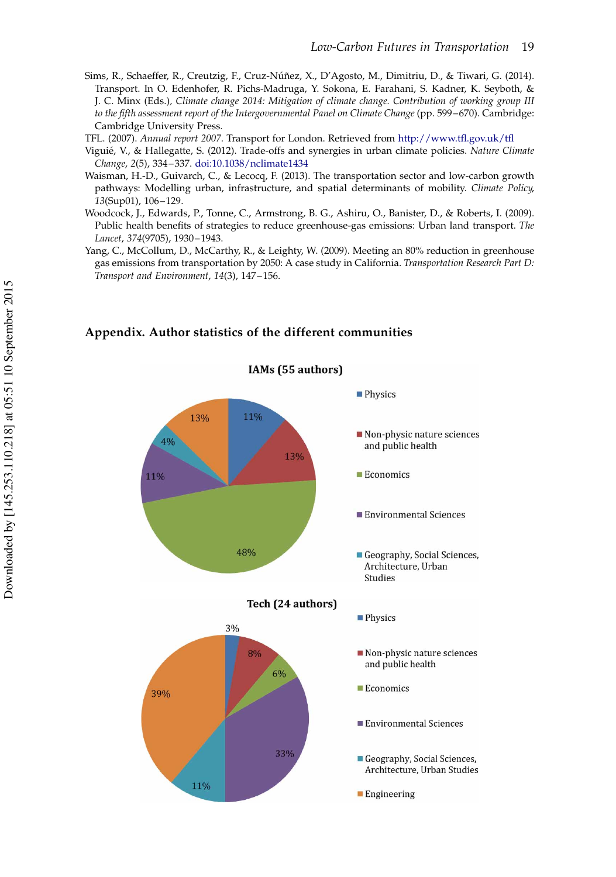- <span id="page-18-0"></span>Sims, R., Schaeffer, R., Creutzig, F., Cruz-Núñez, X., D'Agosto, M., Dimitriu, D., & Tiwari, G. (2014). Transport. In O. Edenhofer, R. Pichs-Madruga, Y. Sokona, E. Farahani, S. Kadner, K. Seyboth, & J. C. Minx (Eds.), Climate change 2014: Mitigation of climate change. Contribution of working group III to the fifth assessment report of the Intergovernmental Panel on Climate Change (pp. 599–670). Cambridge: Cambridge University Press.
- TFL. (2007). Annual report 2007. Transport for London. Retrieved from <http://www.tfl.gov.uk/tfl>
- Viguié, V., & Hallegatte, S. (2012). Trade-offs and synergies in urban climate policies. Nature Climate Change, 2(5), 334–337. [doi:10.1038/nclimate1434](http://dx.doi.org/10.1038/nclimate1434)
- Waisman, H.-D., Guivarch, C., & Lecocq, F. (2013). The transportation sector and low-carbon growth pathways: Modelling urban, infrastructure, and spatial determinants of mobility. Climate Policy, 13(Sup01), 106–129.
- Woodcock, J., Edwards, P., Tonne, C., Armstrong, B. G., Ashiru, O., Banister, D., & Roberts, I. (2009). Public health benefits of strategies to reduce greenhouse-gas emissions: Urban land transport. The Lancet, 374(9705), 1930– 1943.
- Yang, C., McCollum, D., McCarthy, R., & Leighty, W. (2009). Meeting an 80% reduction in greenhouse gas emissions from transportation by 2050: A case study in California. Transportation Research Part D: Transport and Environment, 14(3), 147–156.



## Appendix. Author statistics of the different communities